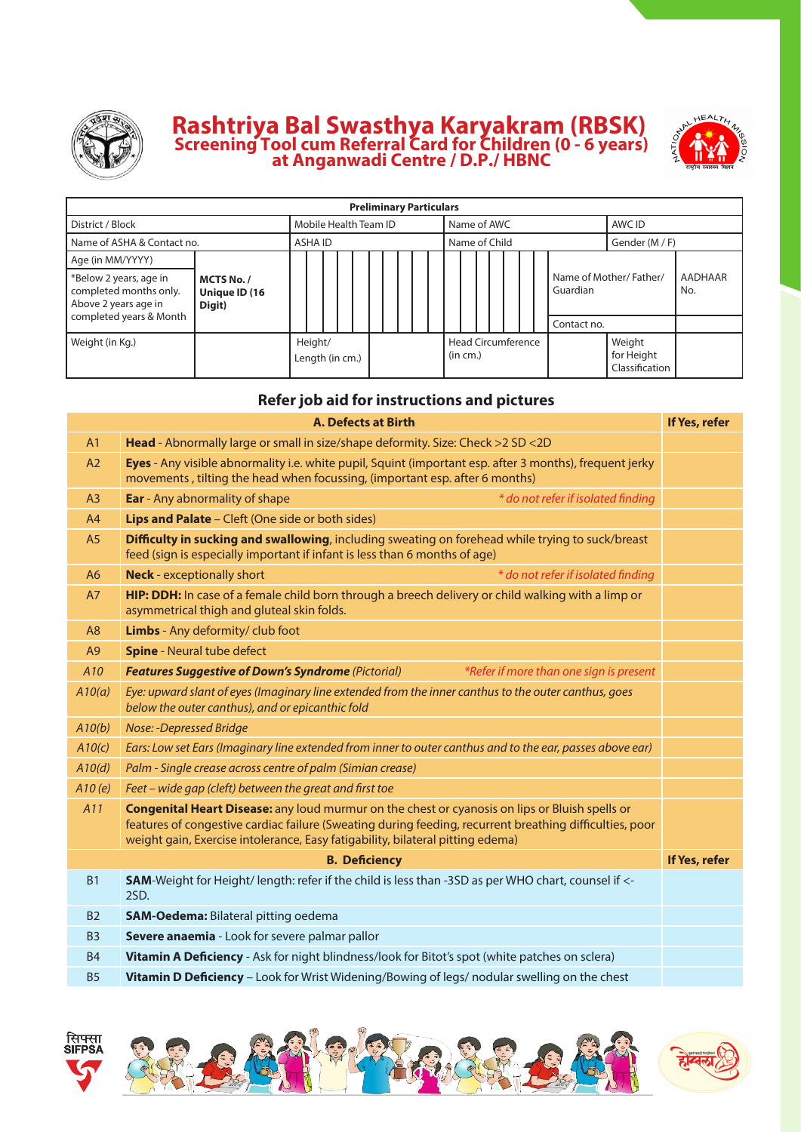

## **Rashtriya Bal Swasthya Karyakram (RBSK) Screening Tool cum Referral card for children (0 - 6 years) at Anganwadi Centre / D.P./ HBNC**



| <b>Preliminary Particulars</b>                                           |                                       |  |         |                       |  |  |  |  |  |  |               |                                       |  |  |  |                                    |                                        |                |  |
|--------------------------------------------------------------------------|---------------------------------------|--|---------|-----------------------|--|--|--|--|--|--|---------------|---------------------------------------|--|--|--|------------------------------------|----------------------------------------|----------------|--|
| District / Block                                                         |                                       |  |         | Mobile Health Team ID |  |  |  |  |  |  |               | Name of AWC                           |  |  |  |                                    | AWC ID                                 |                |  |
| Name of ASHA & Contact no.                                               |                                       |  | ASHA ID |                       |  |  |  |  |  |  | Name of Child |                                       |  |  |  | Gender (M / F)                     |                                        |                |  |
| Age (in MM/YYYY)                                                         |                                       |  |         |                       |  |  |  |  |  |  |               |                                       |  |  |  |                                    |                                        |                |  |
| *Below 2 years, age in<br>completed months only.<br>Above 2 years age in | MCTS No. /<br>Unique ID (16<br>Digit) |  |         |                       |  |  |  |  |  |  |               |                                       |  |  |  | Name of Mother/Father/<br>Guardian |                                        | AADHAAR<br>No. |  |
| completed years & Month                                                  |                                       |  |         |                       |  |  |  |  |  |  |               |                                       |  |  |  | Contact no.                        |                                        |                |  |
| Weight (in Kg.)                                                          |                                       |  | Height/ | Length (in cm.)       |  |  |  |  |  |  |               | <b>Head Circumference</b><br>(in cm.) |  |  |  |                                    | Weight<br>for Height<br>Classification |                |  |

## **Refer job aid for instructions and pictures**

|                 | <b>A. Defects at Birth</b>                                                                                                                                                                                                                                                                         | If Yes, refer |
|-----------------|----------------------------------------------------------------------------------------------------------------------------------------------------------------------------------------------------------------------------------------------------------------------------------------------------|---------------|
| A <sub>1</sub>  | Head - Abnormally large or small in size/shape deformity. Size: Check > 2 SD < 2D                                                                                                                                                                                                                  |               |
| A2              | Eyes - Any visible abnormality i.e. white pupil, Squint (important esp. after 3 months), frequent jerky<br>movements, tilting the head when focussing, (important esp. after 6 months)                                                                                                             |               |
| A3              | <b>Ear</b> - Any abnormality of shape<br>* do not refer if isolated finding                                                                                                                                                                                                                        |               |
| A4              | Lips and Palate - Cleft (One side or both sides)                                                                                                                                                                                                                                                   |               |
| A <sub>5</sub>  | Difficulty in sucking and swallowing, including sweating on forehead while trying to suck/breast<br>feed (sign is especially important if infant is less than 6 months of age)                                                                                                                     |               |
| A <sub>6</sub>  | <b>Neck</b> - exceptionally short<br>* do not refer if isolated finding                                                                                                                                                                                                                            |               |
| A7              | HIP: DDH: In case of a female child born through a breech delivery or child walking with a limp or<br>asymmetrical thigh and gluteal skin folds.                                                                                                                                                   |               |
| A8              | Limbs - Any deformity/ club foot                                                                                                                                                                                                                                                                   |               |
| A9              | <b>Spine</b> - Neural tube defect                                                                                                                                                                                                                                                                  |               |
| A <sub>10</sub> | <b>Features Suggestive of Down's Syndrome (Pictorial)</b><br>*Refer if more than one sign is present                                                                                                                                                                                               |               |
| A10(a)          | Eye: upward slant of eyes (Imaginary line extended from the inner canthus to the outer canthus, goes<br>below the outer canthus), and or epicanthic fold                                                                                                                                           |               |
| A10(b)          | Nose: -Depressed Bridge                                                                                                                                                                                                                                                                            |               |
| A10(c)          | Ears: Low set Ears (Imaginary line extended from inner to outer canthus and to the ear, passes above ear)                                                                                                                                                                                          |               |
| A10(d)          | Palm - Single crease across centre of palm (Simian crease)                                                                                                                                                                                                                                         |               |
| A10(e)          | Feet - wide gap (cleft) between the great and first toe                                                                                                                                                                                                                                            |               |
| A11             | <b>Congenital Heart Disease:</b> any loud murmur on the chest or cyanosis on lips or Bluish spells or<br>features of congestive cardiac failure (Sweating during feeding, recurrent breathing difficulties, poor<br>weight gain, Exercise intolerance, Easy fatigability, bilateral pitting edema) |               |
|                 | <b>B. Deficiency</b>                                                                                                                                                                                                                                                                               | If Yes, refer |
| <b>B1</b>       | SAM-Weight for Height/ length: refer if the child is less than -3SD as per WHO chart, counsel if <-<br>2SD.                                                                                                                                                                                        |               |
| <b>B2</b>       | <b>SAM-Oedema: Bilateral pitting oedema</b>                                                                                                                                                                                                                                                        |               |
| <b>B3</b>       | Severe anaemia - Look for severe palmar pallor                                                                                                                                                                                                                                                     |               |
| <b>B4</b>       | Vitamin A Deficiency - Ask for night blindness/look for Bitot's spot (white patches on sclera)                                                                                                                                                                                                     |               |
| <b>B5</b>       | Vitamin D Deficiency - Look for Wrist Widening/Bowing of legs/ nodular swelling on the chest                                                                                                                                                                                                       |               |

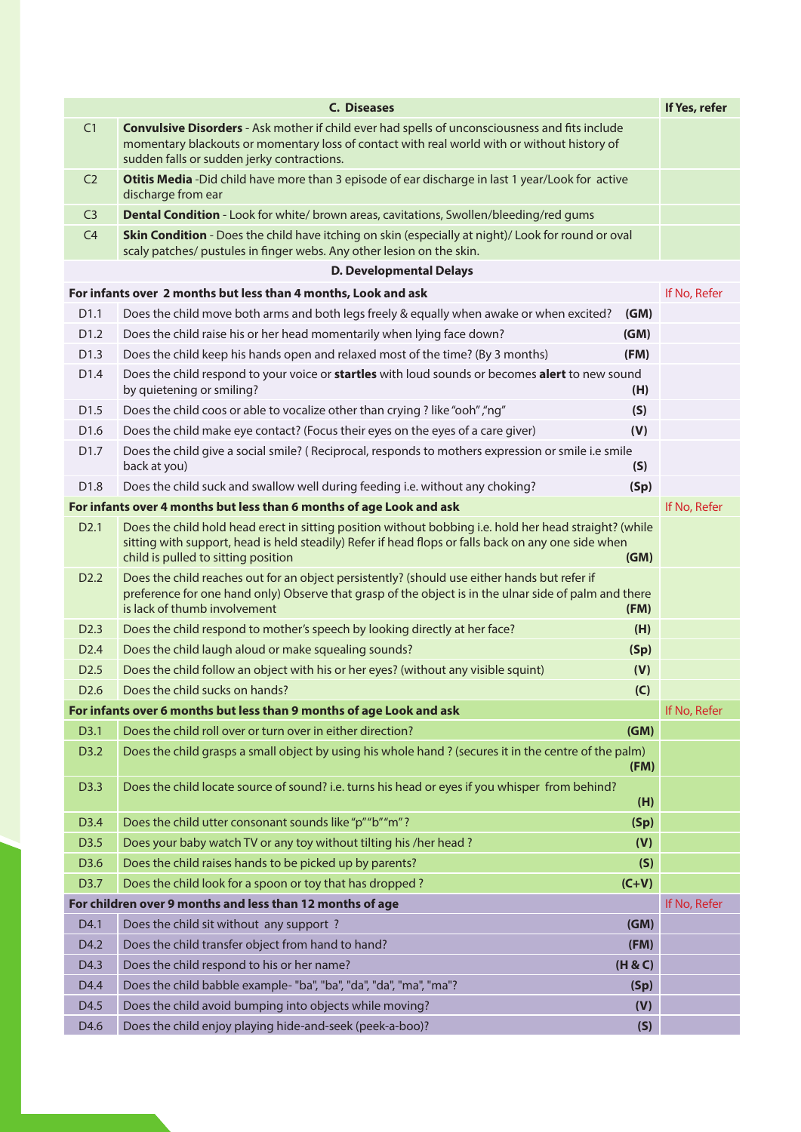|                  | <b>C. Diseases</b>                                                                                                                                                                                                                                   |         | If Yes, refer |
|------------------|------------------------------------------------------------------------------------------------------------------------------------------------------------------------------------------------------------------------------------------------------|---------|---------------|
| C1               | <b>Convulsive Disorders</b> - Ask mother if child ever had spells of unconsciousness and fits include                                                                                                                                                |         |               |
|                  | momentary blackouts or momentary loss of contact with real world with or without history of<br>sudden falls or sudden jerky contractions.                                                                                                            |         |               |
| C <sub>2</sub>   | Otitis Media -Did child have more than 3 episode of ear discharge in last 1 year/Look for active<br>discharge from ear                                                                                                                               |         |               |
| C <sub>3</sub>   | Dental Condition - Look for white/ brown areas, cavitations, Swollen/bleeding/red gums                                                                                                                                                               |         |               |
| C4               | Skin Condition - Does the child have itching on skin (especially at night)/ Look for round or oval<br>scaly patches/ pustules in finger webs. Any other lesion on the skin.                                                                          |         |               |
|                  | <b>D. Developmental Delays</b>                                                                                                                                                                                                                       |         |               |
|                  | For infants over 2 months but less than 4 months, Look and ask                                                                                                                                                                                       |         | If No, Refer  |
| D <sub>1.1</sub> | Does the child move both arms and both legs freely & equally when awake or when excited?                                                                                                                                                             | (GM)    |               |
| D <sub>1.2</sub> | Does the child raise his or her head momentarily when lying face down?                                                                                                                                                                               | (GM)    |               |
| D <sub>1.3</sub> | Does the child keep his hands open and relaxed most of the time? (By 3 months)                                                                                                                                                                       | (FM)    |               |
| D1.4             | Does the child respond to your voice or startles with loud sounds or becomes alert to new sound<br>by quietening or smiling?                                                                                                                         | (H)     |               |
| D <sub>1.5</sub> | Does the child coos or able to vocalize other than crying ? like "ooh", "ng"                                                                                                                                                                         | (S)     |               |
| D <sub>1.6</sub> | Does the child make eye contact? (Focus their eyes on the eyes of a care giver)                                                                                                                                                                      | (V)     |               |
| D <sub>1.7</sub> | Does the child give a social smile? (Reciprocal, responds to mothers expression or smile i.e smile<br>back at you)                                                                                                                                   | (S)     |               |
| D1.8             | Does the child suck and swallow well during feeding i.e. without any choking?                                                                                                                                                                        | (Sp)    |               |
|                  | For infants over 4 months but less than 6 months of age Look and ask                                                                                                                                                                                 |         | If No, Refer  |
| D <sub>2.1</sub> | Does the child hold head erect in sitting position without bobbing i.e. hold her head straight? (while<br>sitting with support, head is held steadily) Refer if head flops or falls back on any one side when<br>child is pulled to sitting position | (GM)    |               |
| D <sub>2.2</sub> | Does the child reaches out for an object persistently? (should use either hands but refer if<br>preference for one hand only) Observe that grasp of the object is in the ulnar side of palm and there<br>is lack of thumb involvement                | (FM)    |               |
| D <sub>2.3</sub> | Does the child respond to mother's speech by looking directly at her face?                                                                                                                                                                           | (H)     |               |
| D <sub>2.4</sub> | Does the child laugh aloud or make squealing sounds?                                                                                                                                                                                                 | (Sp)    |               |
| D <sub>2.5</sub> | Does the child follow an object with his or her eyes? (without any visible squint)                                                                                                                                                                   | (V)     |               |
| D <sub>2.6</sub> | Does the child sucks on hands?                                                                                                                                                                                                                       | (C)     |               |
|                  | For infants over 6 months but less than 9 months of age Look and ask                                                                                                                                                                                 |         | If No, Refer  |
| D3.1             | Does the child roll over or turn over in either direction?                                                                                                                                                                                           | (GM)    |               |
| D3.2             | Does the child grasps a small object by using his whole hand ? (secures it in the centre of the palm)                                                                                                                                                | (FM)    |               |
| D3.3             | Does the child locate source of sound? i.e. turns his head or eyes if you whisper from behind?                                                                                                                                                       | (H)     |               |
| D3.4             | Does the child utter consonant sounds like "p" "b" "m"?                                                                                                                                                                                              | (Sp)    |               |
| D3.5             | Does your baby watch TV or any toy without tilting his /her head ?                                                                                                                                                                                   | (V)     |               |
| D3.6             | Does the child raises hands to be picked up by parents?                                                                                                                                                                                              | (S)     |               |
| D3.7             | Does the child look for a spoon or toy that has dropped?                                                                                                                                                                                             | $(C+V)$ |               |
|                  | For children over 9 months and less than 12 months of age                                                                                                                                                                                            |         | If No, Refer  |
| D4.1             | Does the child sit without any support?                                                                                                                                                                                                              | (GM)    |               |
| D4.2             | Does the child transfer object from hand to hand?                                                                                                                                                                                                    | (FM)    |               |
| D4.3             | Does the child respond to his or her name?                                                                                                                                                                                                           | (H & C) |               |
| D4.4             | Does the child babble example- "ba", "ba", "da", "da", "ma", "ma"?                                                                                                                                                                                   | (Sp)    |               |
| D4.5             | Does the child avoid bumping into objects while moving?                                                                                                                                                                                              | (V)     |               |
| D4.6             | Does the child enjoy playing hide-and-seek (peek-a-boo)?                                                                                                                                                                                             | (S)     |               |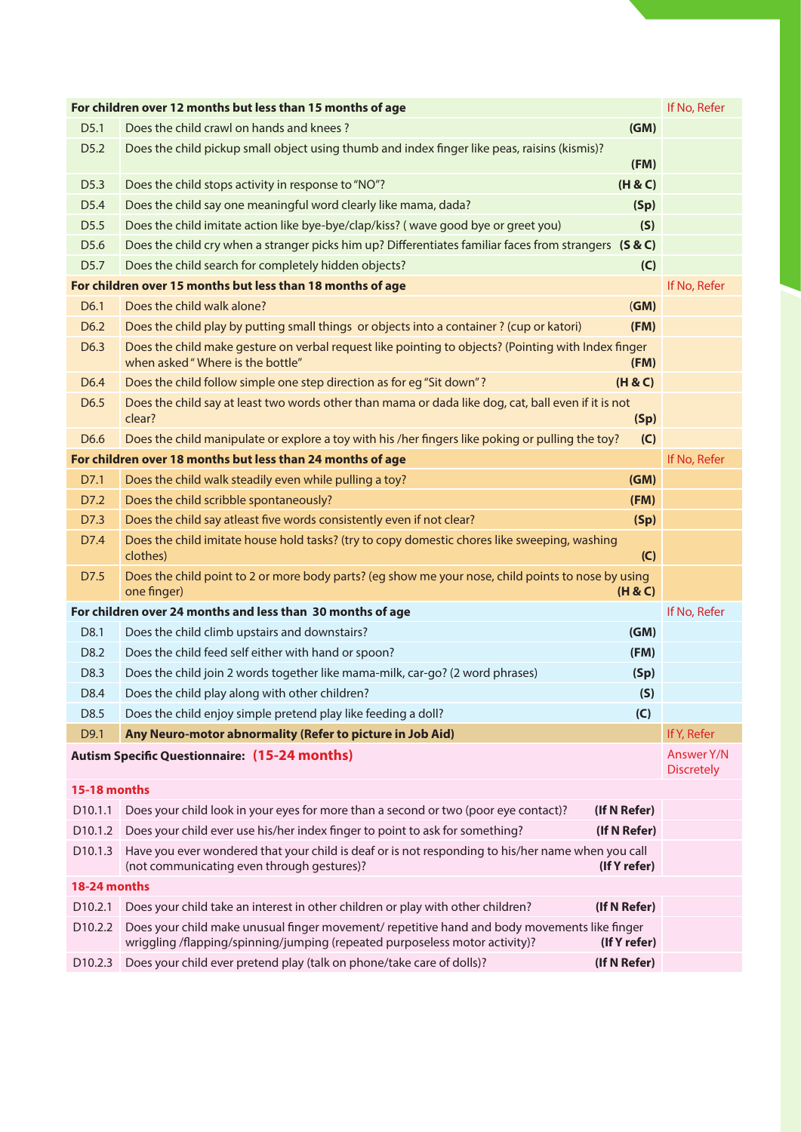|                     | For children over 12 months but less than 15 months of age                                                                                                                                 | If No, Refer                    |
|---------------------|--------------------------------------------------------------------------------------------------------------------------------------------------------------------------------------------|---------------------------------|
| D <sub>5.1</sub>    | (GM)<br>Does the child crawl on hands and knees?                                                                                                                                           |                                 |
| D <sub>5.2</sub>    | Does the child pickup small object using thumb and index finger like peas, raisins (kismis)?<br>(FM)                                                                                       |                                 |
| D <sub>5.3</sub>    | Does the child stops activity in response to "NO"?<br>(H & C)                                                                                                                              |                                 |
| D5.4                | Does the child say one meaningful word clearly like mama, dada?<br>(Sp)                                                                                                                    |                                 |
| D <sub>5.5</sub>    | Does the child imitate action like bye-bye/clap/kiss? (wave good bye or greet you)<br>(S)                                                                                                  |                                 |
| D5.6                | Does the child cry when a stranger picks him up? Differentiates familiar faces from strangers (S & C)                                                                                      |                                 |
| D <sub>5.7</sub>    | Does the child search for completely hidden objects?<br>(C)                                                                                                                                |                                 |
|                     | For children over 15 months but less than 18 months of age                                                                                                                                 | If No, Refer                    |
| D6.1                | Does the child walk alone?<br>(GM)                                                                                                                                                         |                                 |
| D <sub>6.2</sub>    | Does the child play by putting small things or objects into a container ? (cup or katori)<br>(FM)                                                                                          |                                 |
| D6.3                | Does the child make gesture on verbal request like pointing to objects? (Pointing with Index finger<br>when asked "Where is the bottle"<br>(FM)                                            |                                 |
| D <sub>6.4</sub>    | Does the child follow simple one step direction as for eg "Sit down"?<br>(H & C)                                                                                                           |                                 |
| D <sub>6.5</sub>    | Does the child say at least two words other than mama or dada like dog, cat, ball even if it is not<br>clear?<br>(Sp)                                                                      |                                 |
| D6.6                | Does the child manipulate or explore a toy with his /her fingers like poking or pulling the toy?<br>(C)                                                                                    |                                 |
|                     | For children over 18 months but less than 24 months of age                                                                                                                                 | If No, Refer                    |
| D7.1                | Does the child walk steadily even while pulling a toy?<br>(GM)                                                                                                                             |                                 |
| D7.2                | Does the child scribble spontaneously?<br>(FM)                                                                                                                                             |                                 |
| D7.3                | Does the child say atleast five words consistently even if not clear?<br>(Sp)                                                                                                              |                                 |
| D7.4                | Does the child imitate house hold tasks? (try to copy domestic chores like sweeping, washing<br>clothes)<br>(C)                                                                            |                                 |
| D7.5                | Does the child point to 2 or more body parts? (eg show me your nose, child points to nose by using<br>one finger)<br>(H & C)                                                               |                                 |
|                     | For children over 24 months and less than 30 months of age                                                                                                                                 | If No, Refer                    |
| D8.1                | (GM)<br>Does the child climb upstairs and downstairs?                                                                                                                                      |                                 |
| D8.2                | Does the child feed self either with hand or spoon?<br>(FM)                                                                                                                                |                                 |
| D8.3                | Does the child join 2 words together like mama-milk, car-go? (2 word phrases)<br>(Sp)                                                                                                      |                                 |
| D8.4                | Does the child play along with other children?<br>(S)                                                                                                                                      |                                 |
| D8.5                | Does the child enjoy simple pretend play like feeding a doll?<br>(C)                                                                                                                       |                                 |
| D9.1                | Any Neuro-motor abnormality (Refer to picture in Job Aid)                                                                                                                                  | If Y, Refer                     |
|                     | <b>Autism Specific Questionnaire: (15-24 months)</b>                                                                                                                                       | Answer Y/N<br><b>Discretely</b> |
| 15-18 months        |                                                                                                                                                                                            |                                 |
| D <sub>10.1.1</sub> | Does your child look in your eyes for more than a second or two (poor eye contact)?<br>(If N Refer)                                                                                        |                                 |
| D <sub>10.1.2</sub> | Does your child ever use his/her index finger to point to ask for something?<br>(If N Refer)                                                                                               |                                 |
| D <sub>10.1.3</sub> | Have you ever wondered that your child is deaf or is not responding to his/her name when you call<br>(not communicating even through gestures)?<br>(If Y refer)                            |                                 |
| 18-24 months        |                                                                                                                                                                                            |                                 |
| D <sub>10.2.1</sub> | Does your child take an interest in other children or play with other children?<br>(If N Refer)                                                                                            |                                 |
| D <sub>10.2.2</sub> | Does your child make unusual finger movement/repetitive hand and body movements like finger<br>wriggling /flapping/spinning/jumping (repeated purposeless motor activity)?<br>(If Y refer) |                                 |
| D <sub>10.2.3</sub> | Does your child ever pretend play (talk on phone/take care of dolls)?<br>(If N Refer)                                                                                                      |                                 |